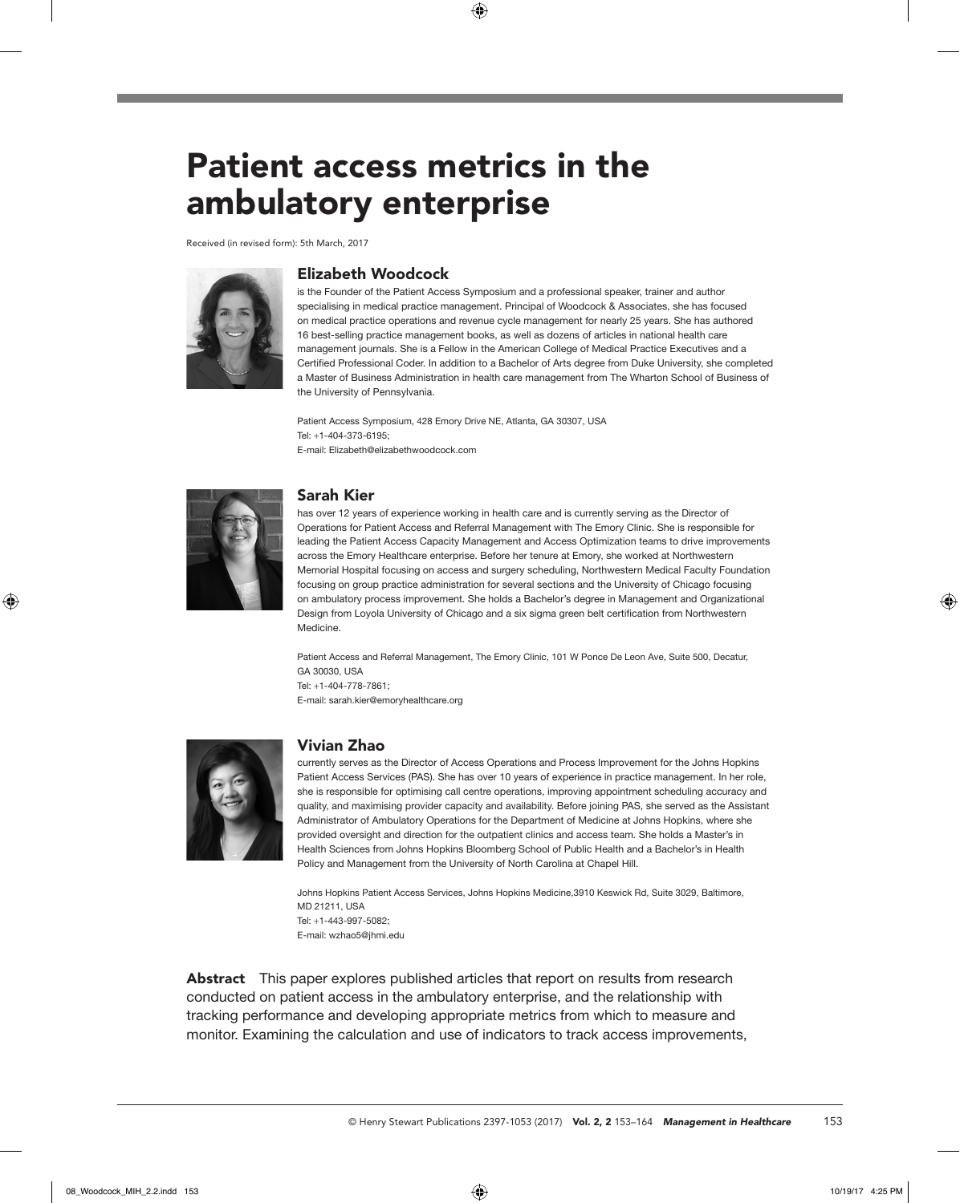# Patient access metrics in the ambulatory enterprise

Received (in revised form): 5th March, 2017



## Elizabeth Woodcock

is the Founder of the Patient Access Symposium and a professional speaker, trainer and author specialising in medical practice management. Principal of Woodcock & Associates, she has focused on medical practice operations and revenue cycle management for nearly 25 years. She has authored 16 best-selling practice management books, as well as dozens of articles in national health care management journals. She is a Fellow in the American College of Medical Practice Executives and a Certified Professional Coder. In addition to a Bachelor of Arts degree from Duke University, she completed a Master of Business Administration in health care management from The Wharton School of Business of the University of Pennsylvania.

Patient Access Symposium, 428 Emory Drive NE, Atlanta, GA 30307, USA Tel: +1-404-373-6195; E-mail: Elizabeth@elizabethwoodcock.com



## Sarah Kier

has over 12 years of experience working in health care and is currently serving as the Director of Operations for Patient Access and Referral Management with The Emory Clinic. She is responsible for leading the Patient Access Capacity Management and Access Optimization teams to drive improvements across the Emory Healthcare enterprise. Before her tenure at Emory, she worked at Northwestern Memorial Hospital focusing on access and surgery scheduling, Northwestern Medical Faculty Foundation focusing on group practice administration for several sections and the University of Chicago focusing on ambulatory process improvement. She holds a Bachelor's degree in Management and Organizational Design from Loyola University of Chicago and a six sigma green belt certification from Northwestern Medicine.

Patient Access and Referral Management, The Emory Clinic, 101 W Ponce De Leon Ave, Suite 500, Decatur, GA 30030, USA Tel: +1-404-778-7861; E-mail: sarah.kier@emoryhealthcare.org



## Vivian Zhao

currently serves as the Director of Access Operations and Process Improvement for the Johns Hopkins Patient Access Services (PAS). She has over 10 years of experience in practice management. In her role, she is responsible for optimising call centre operations, improving appointment scheduling accuracy and quality, and maximising provider capacity and availability. Before joining PAS, she served as the Assistant Administrator of Ambulatory Operations for the Department of Medicine at Johns Hopkins, where she provided oversight and direction for the outpatient clinics and access team. She holds a Master's in Health Sciences from Johns Hopkins Bloomberg School of Public Health and a Bachelor's in Health Policy and Management from the University of North Carolina at Chapel Hill.

Johns Hopkins Patient Access Services, Johns Hopkins Medicine,3910 Keswick Rd, Suite 3029, Baltimore, MD 21211, USA Tel: +1-443-997-5082; E-mail: wzhao5@jhmi.edu

Abstract This paper explores published articles that report on results from research conducted on patient access in the ambulatory enterprise, and the relationship with tracking performance and developing appropriate metrics from which to measure and monitor. Examining the calculation and use of indicators to track access improvements,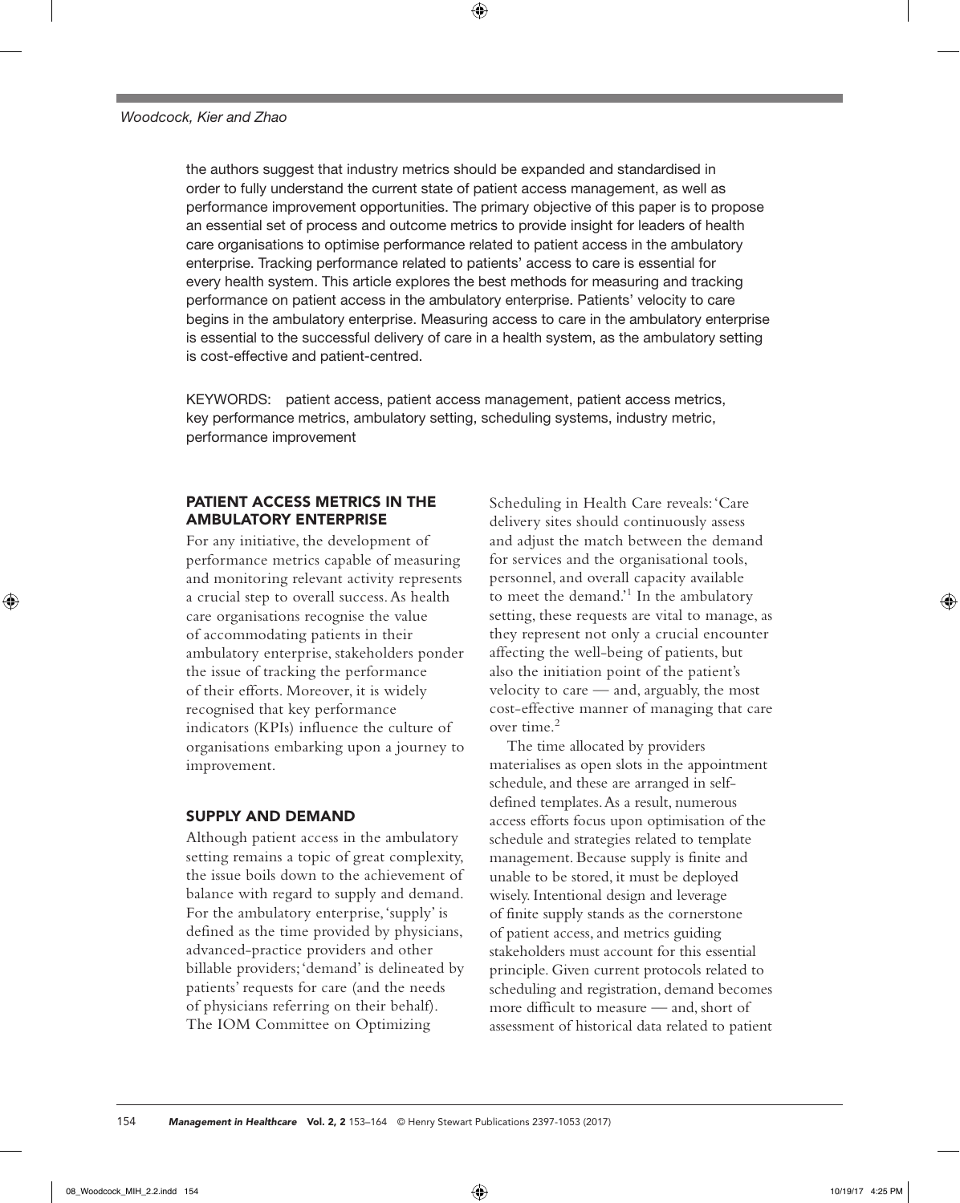the authors suggest that industry metrics should be expanded and standardised in order to fully understand the current state of patient access management, as well as performance improvement opportunities. The primary objective of this paper is to propose an essential set of process and outcome metrics to provide insight for leaders of health care organisations to optimise performance related to patient access in the ambulatory enterprise. Tracking performance related to patients' access to care is essential for every health system. This article explores the best methods for measuring and tracking performance on patient access in the ambulatory enterprise. Patients' velocity to care begins in the ambulatory enterprise. Measuring access to care in the ambulatory enterprise is essential to the successful delivery of care in a health system, as the ambulatory setting is cost-effective and patient-centred.

KEYWORDS: patient access, patient access management, patient access metrics, key performance metrics, ambulatory setting, scheduling systems, industry metric, performance improvement

# PATIENT ACCESS METRICS IN THE AMBULATORY ENTERPRISE

For any initiative, the development of performance metrics capable of measuring and monitoring relevant activity represents a crucial step to overall success. As health care organisations recognise the value of accommodating patients in their ambulatory enterprise, stakeholders ponder the issue of tracking the performance of their efforts. Moreover, it is widely recognised that key performance indicators (KPIs) influence the culture of organisations embarking upon a journey to improvement.

# SUPPLY AND DEMAND

Although patient access in the ambulatory setting remains a topic of great complexity, the issue boils down to the achievement of balance with regard to supply and demand. For the ambulatory enterprise, 'supply' is defined as the time provided by physicians, advanced-practice providers and other billable providers; 'demand' is delineated by patients' requests for care (and the needs of physicians referring on their behalf). The IOM Committee on Optimizing

Scheduling in Health Care reveals: 'Care delivery sites should continuously assess and adjust the match between the demand for services and the organisational tools, personnel, and overall capacity available to meet the demand.'<sup>1</sup> In the ambulatory setting, these requests are vital to manage, as they represent not only a crucial encounter affecting the well-being of patients, but also the initiation point of the patient's velocity to care — and, arguably, the most cost-effective manner of managing that care over time.<sup>2</sup>

The time allocated by providers materialises as open slots in the appointment schedule, and these are arranged in selfdefined templates. As a result, numerous access efforts focus upon optimisation of the schedule and strategies related to template management. Because supply is finite and unable to be stored, it must be deployed wisely. Intentional design and leverage of finite supply stands as the cornerstone of patient access, and metrics guiding stakeholders must account for this essential principle. Given current protocols related to scheduling and registration, demand becomes more difficult to measure — and, short of assessment of historical data related to patient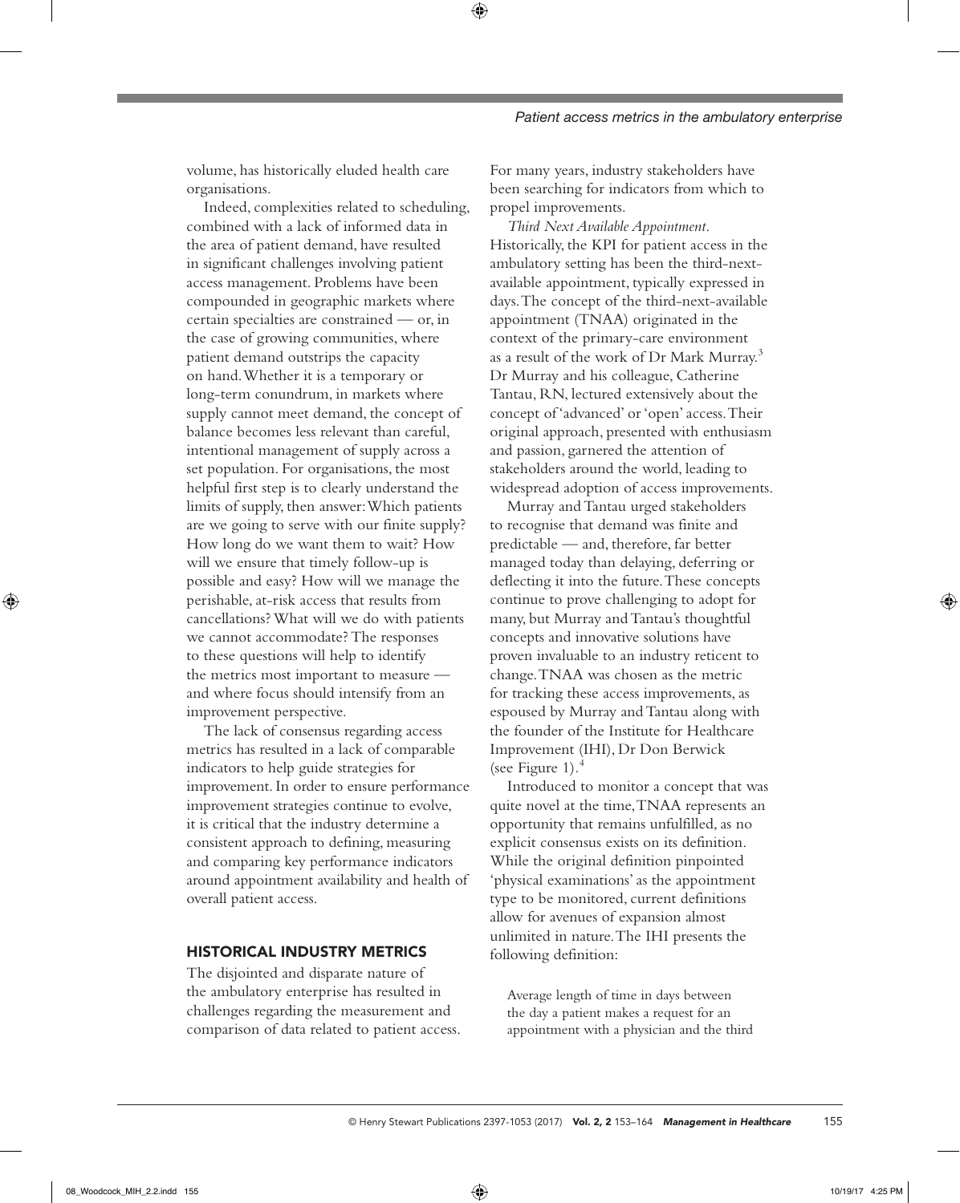volume, has historically eluded health care organisations.

Indeed, complexities related to scheduling, combined with a lack of informed data in the area of patient demand, have resulted in significant challenges involving patient access management. Problems have been compounded in geographic markets where certain specialties are constrained — or, in the case of growing communities, where patient demand outstrips the capacity on hand. Whether it is a temporary or long-term conundrum, in markets where supply cannot meet demand, the concept of balance becomes less relevant than careful, intentional management of supply across a set population. For organisations, the most helpful first step is to clearly understand the limits of supply, then answer: Which patients are we going to serve with our finite supply? How long do we want them to wait? How will we ensure that timely follow-up is possible and easy? How will we manage the perishable, at-risk access that results from cancellations? What will we do with patients we cannot accommodate? The responses to these questions will help to identify the metrics most important to measure and where focus should intensify from an improvement perspective.

The lack of consensus regarding access metrics has resulted in a lack of comparable indicators to help guide strategies for improvement. In order to ensure performance improvement strategies continue to evolve, it is critical that the industry determine a consistent approach to defining, measuring and comparing key performance indicators around appointment availability and health of overall patient access.

## HISTORICAL INDUSTRY METRICS

The disjointed and disparate nature of the ambulatory enterprise has resulted in challenges regarding the measurement and comparison of data related to patient access.

For many years, industry stakeholders have been searching for indicators from which to propel improvements.

*Third Next Available Appointment*. Historically, the KPI for patient access in the ambulatory setting has been the third-nextavailable appointment, typically expressed in days. The concept of the third-next-available appointment (TNAA) originated in the context of the primary-care environment as a result of the work of Dr Mark Murray.3 Dr Murray and his colleague, Catherine Tantau, RN, lectured extensively about the concept of 'advanced' or 'open' access. Their original approach, presented with enthusiasm and passion, garnered the attention of stakeholders around the world, leading to widespread adoption of access improvements.

Murray and Tantau urged stakeholders to recognise that demand was finite and predictable — and, therefore, far better managed today than delaying, deferring or deflecting it into the future. These concepts continue to prove challenging to adopt for many, but Murray and Tantau's thoughtful concepts and innovative solutions have proven invaluable to an industry reticent to change. TNAA was chosen as the metric for tracking these access improvements, as espoused by Murray and Tantau along with the founder of the Institute for Healthcare Improvement (IHI), Dr Don Berwick (see Figure 1)*.* 4

Introduced to monitor a concept that was quite novel at the time, TNAA represents an opportunity that remains unfulfilled, as no explicit consensus exists on its definition. While the original definition pinpointed 'physical examinations' as the appointment type to be monitored, current definitions allow for avenues of expansion almost unlimited in nature. The IHI presents the following definition:

Average length of time in days between the day a patient makes a request for an appointment with a physician and the third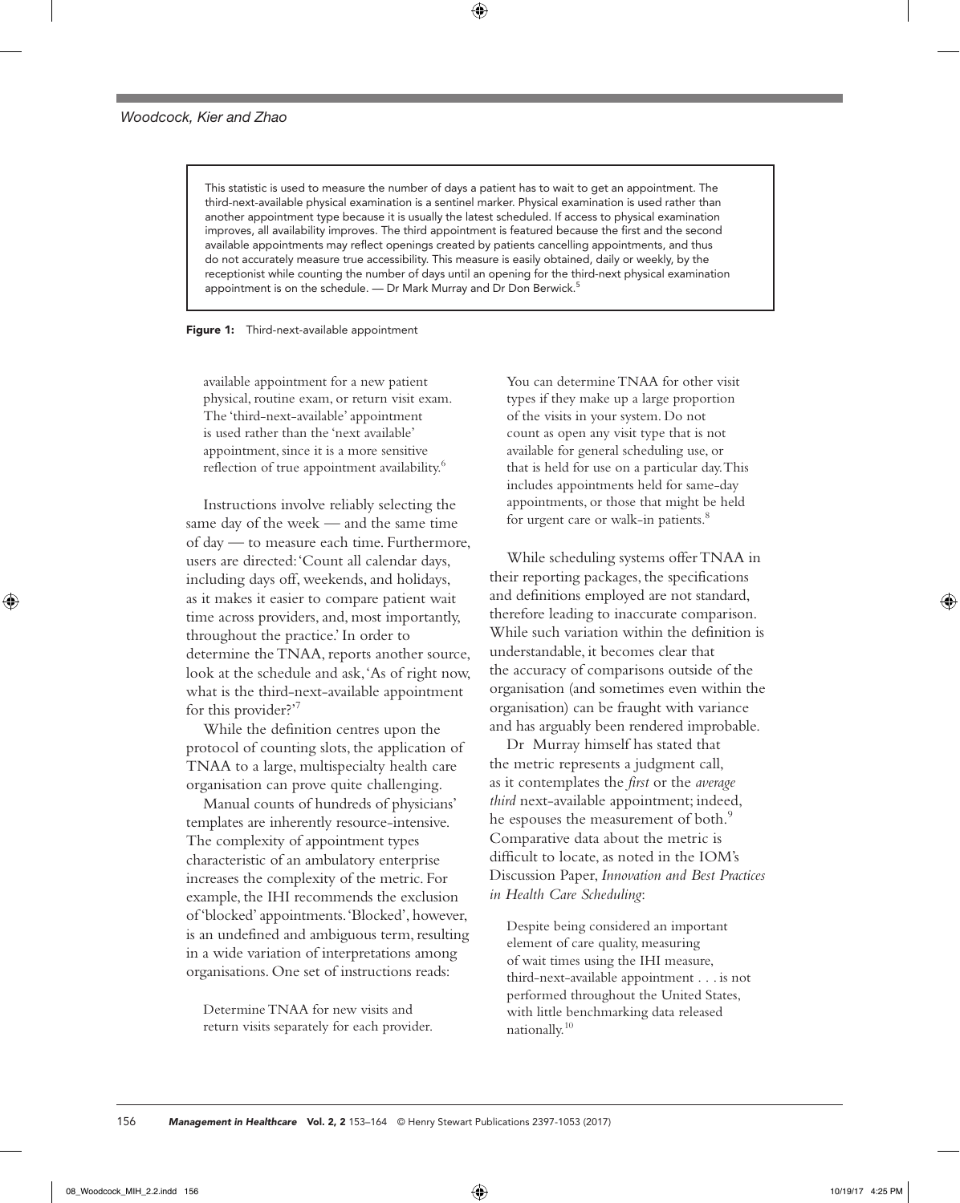This statistic is used to measure the number of days a patient has to wait to get an appointment. The third-next-available physical examination is a sentinel marker. Physical examination is used rather than another appointment type because it is usually the latest scheduled. If access to physical examination improves, all availability improves. The third appointment is featured because the first and the second available appointments may reflect openings created by patients cancelling appointments, and thus do not accurately measure true accessibility. This measure is easily obtained, daily or weekly, by the receptionist while counting the number of days until an opening for the third-next physical examination appointment is on the schedule. — Dr Mark Murray and Dr Don Berwick.<sup>5</sup>

#### Figure 1: Third-next-available appointment

available appointment for a new patient physical, routine exam, or return visit exam. The 'third-next-available' appointment is used rather than the 'next available' appointment, since it is a more sensitive reflection of true appointment availability.<sup>6</sup>

Instructions involve reliably selecting the same day of the week — and the same time of day — to measure each time. Furthermore, users are directed: 'Count all calendar days, including days off, weekends, and holidays, as it makes it easier to compare patient wait time across providers, and, most importantly, throughout the practice.' In order to determine the TNAA, reports another source, look at the schedule and ask, 'As of right now, what is the third-next-available appointment for this provider?'7

While the definition centres upon the protocol of counting slots, the application of TNAA to a large, multispecialty health care organisation can prove quite challenging.

Manual counts of hundreds of physicians' templates are inherently resource-intensive. The complexity of appointment types characteristic of an ambulatory enterprise increases the complexity of the metric. For example, the IHI recommends the exclusion of 'blocked' appointments. 'Blocked', however, is an undefined and ambiguous term, resulting in a wide variation of interpretations among organisations. One set of instructions reads:

Determine TNAA for new visits and return visits separately for each provider.

You can determine TNAA for other visit types if they make up a large proportion of the visits in your system. Do not count as open any visit type that is not available for general scheduling use, or that is held for use on a particular day. This includes appointments held for same-day appointments, or those that might be held for urgent care or walk-in patients.<sup>8</sup>

While scheduling systems offer TNAA in their reporting packages, the specifications and definitions employed are not standard, therefore leading to inaccurate comparison. While such variation within the definition is understandable, it becomes clear that the accuracy of comparisons outside of the organisation (and sometimes even within the organisation) can be fraught with variance and has arguably been rendered improbable.

Dr Murray himself has stated that the metric represents a judgment call, as it contemplates the *first* or the *average third* next-available appointment; indeed, he espouses the measurement of both.<sup>9</sup> Comparative data about the metric is difficult to locate, as noted in the IOM's Discussion Paper, *Innovation and Best Practices in Health Care Scheduling*:

Despite being considered an important element of care quality, measuring of wait times using the IHI measure, third-next-available appointment . . . is not performed throughout the United States, with little benchmarking data released nationally.10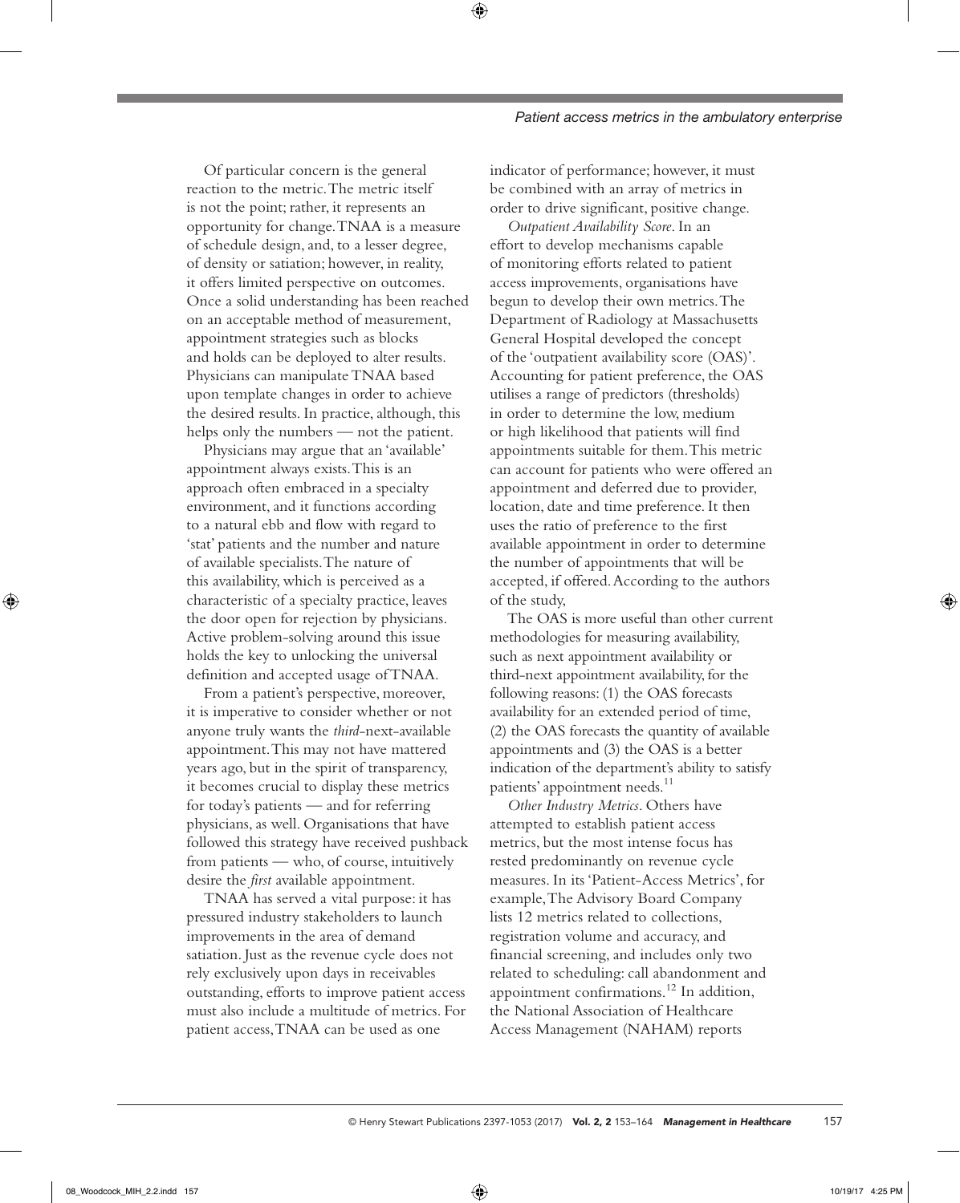Of particular concern is the general reaction to the metric. The metric itself is not the point; rather, it represents an opportunity for change. TNAA is a measure of schedule design, and, to a lesser degree, of density or satiation; however, in reality, it offers limited perspective on outcomes. Once a solid understanding has been reached on an acceptable method of measurement, appointment strategies such as blocks and holds can be deployed to alter results. Physicians can manipulate TNAA based upon template changes in order to achieve the desired results. In practice, although, this helps only the numbers — not the patient.

Physicians may argue that an 'available' appointment always exists. This is an approach often embraced in a specialty environment, and it functions according to a natural ebb and flow with regard to 'stat' patients and the number and nature of available specialists. The nature of this availability, which is perceived as a characteristic of a specialty practice, leaves the door open for rejection by physicians. Active problem-solving around this issue holds the key to unlocking the universal definition and accepted usage of TNAA.

From a patient's perspective, moreover, it is imperative to consider whether or not anyone truly wants the *third*-next-available appointment. This may not have mattered years ago, but in the spirit of transparency, it becomes crucial to display these metrics for today's patients — and for referring physicians, as well. Organisations that have followed this strategy have received pushback from patients — who, of course, intuitively desire the *first* available appointment.

TNAA has served a vital purpose: it has pressured industry stakeholders to launch improvements in the area of demand satiation. Just as the revenue cycle does not rely exclusively upon days in receivables outstanding, efforts to improve patient access must also include a multitude of metrics. For patient access, TNAA can be used as one

indicator of performance; however, it must be combined with an array of metrics in order to drive significant, positive change.

*Outpatient Availability Score*. In an effort to develop mechanisms capable of monitoring efforts related to patient access improvements, organisations have begun to develop their own metrics. The Department of Radiology at Massachusetts General Hospital developed the concept of the 'outpatient availability score (OAS)'. Accounting for patient preference, the OAS utilises a range of predictors (thresholds) in order to determine the low, medium or high likelihood that patients will find appointments suitable for them. This metric can account for patients who were offered an appointment and deferred due to provider, location, date and time preference. It then uses the ratio of preference to the first available appointment in order to determine the number of appointments that will be accepted, if offered. According to the authors of the study,

The OAS is more useful than other current methodologies for measuring availability, such as next appointment availability or third-next appointment availability, for the following reasons: (1) the OAS forecasts availability for an extended period of time, (2) the OAS forecasts the quantity of available appointments and (3) the OAS is a better indication of the department's ability to satisfy patients' appointment needs.<sup>11</sup>

*Other Industry Metrics*. Others have attempted to establish patient access metrics, but the most intense focus has rested predominantly on revenue cycle measures. In its 'Patient-Access Metrics', for example, The Advisory Board Company lists 12 metrics related to collections, registration volume and accuracy, and financial screening, and includes only two related to scheduling: call abandonment and appointment confirmations.12 In addition, the National Association of Healthcare Access Management (NAHAM) reports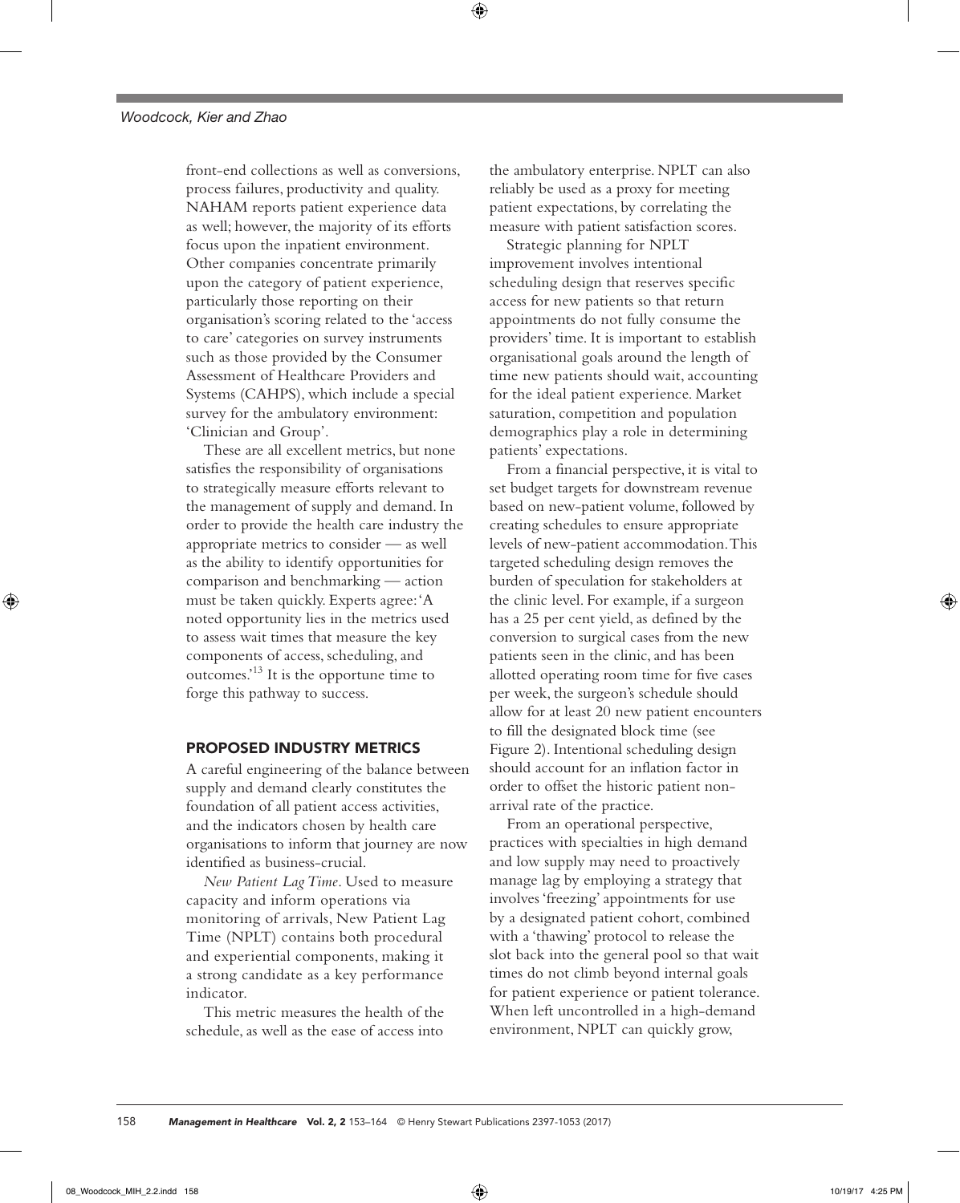front-end collections as well as conversions, process failures, productivity and quality. NAHAM reports patient experience data as well; however, the majority of its efforts focus upon the inpatient environment. Other companies concentrate primarily upon the category of patient experience, particularly those reporting on their organisation's scoring related to the 'access to care' categories on survey instruments such as those provided by the Consumer Assessment of Healthcare Providers and Systems (CAHPS), which include a special survey for the ambulatory environment: 'Clinician and Group'.

These are all excellent metrics, but none satisfies the responsibility of organisations to strategically measure efforts relevant to the management of supply and demand. In order to provide the health care industry the appropriate metrics to consider — as well as the ability to identify opportunities for comparison and benchmarking — action must be taken quickly. Experts agree: 'A noted opportunity lies in the metrics used to assess wait times that measure the key components of access, scheduling, and outcomes.'13 It is the opportune time to forge this pathway to success.

# PROPOSED INDUSTRY METRICS

A careful engineering of the balance between supply and demand clearly constitutes the foundation of all patient access activities, and the indicators chosen by health care organisations to inform that journey are now identified as business-crucial.

*New Patient Lag Time*. Used to measure capacity and inform operations via monitoring of arrivals, New Patient Lag Time (NPLT) contains both procedural and experiential components, making it a strong candidate as a key performance indicator.

This metric measures the health of the schedule, as well as the ease of access into the ambulatory enterprise. NPLT can also reliably be used as a proxy for meeting patient expectations, by correlating the measure with patient satisfaction scores.

Strategic planning for NPLT improvement involves intentional scheduling design that reserves specific access for new patients so that return appointments do not fully consume the providers' time. It is important to establish organisational goals around the length of time new patients should wait, accounting for the ideal patient experience. Market saturation, competition and population demographics play a role in determining patients' expectations.

From a financial perspective, it is vital to set budget targets for downstream revenue based on new-patient volume, followed by creating schedules to ensure appropriate levels of new-patient accommodation. This targeted scheduling design removes the burden of speculation for stakeholders at the clinic level. For example, if a surgeon has a 25 per cent yield, as defined by the conversion to surgical cases from the new patients seen in the clinic, and has been allotted operating room time for five cases per week, the surgeon's schedule should allow for at least 20 new patient encounters to fill the designated block time (see Figure 2). Intentional scheduling design should account for an inflation factor in order to offset the historic patient nonarrival rate of the practice.

From an operational perspective, practices with specialties in high demand and low supply may need to proactively manage lag by employing a strategy that involves 'freezing' appointments for use by a designated patient cohort, combined with a 'thawing' protocol to release the slot back into the general pool so that wait times do not climb beyond internal goals for patient experience or patient tolerance. When left uncontrolled in a high-demand environment, NPLT can quickly grow,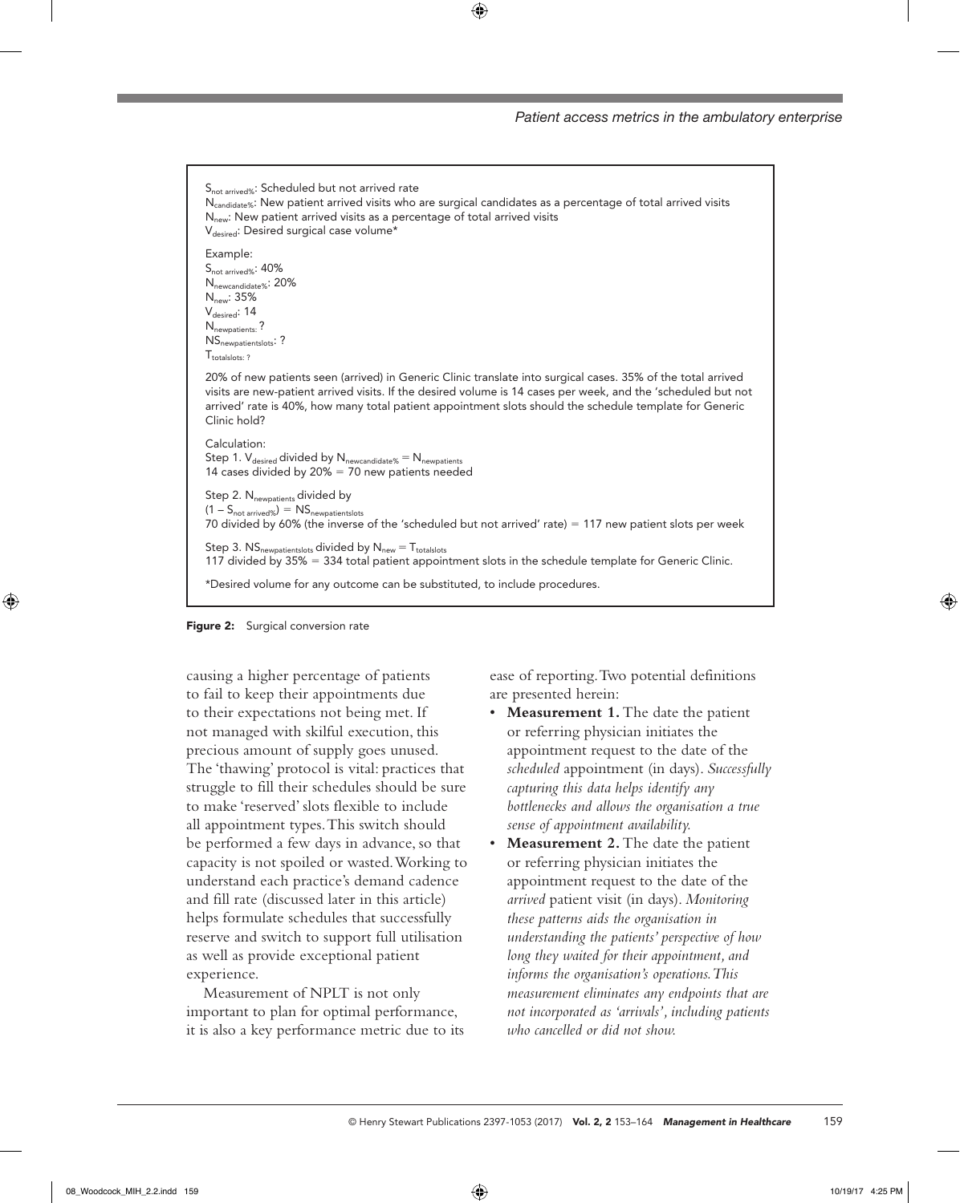



causing a higher percentage of patients to fail to keep their appointments due to their expectations not being met. If not managed with skilful execution, this precious amount of supply goes unused. The 'thawing' protocol is vital: practices that struggle to fill their schedules should be sure to make 'reserved' slots flexible to include all appointment types. This switch should be performed a few days in advance, so that capacity is not spoiled or wasted. Working to understand each practice's demand cadence and fill rate (discussed later in this article) helps formulate schedules that successfully reserve and switch to support full utilisation as well as provide exceptional patient experience.

Measurement of NPLT is not only important to plan for optimal performance, it is also a key performance metric due to its ease of reporting. Two potential definitions are presented herein:

- **Measurement 1.** The date the patient or referring physician initiates the appointment request to the date of the *scheduled* appointment (in days). *Successfully capturing this data helps identify any bottlenecks and allows the organisation a true sense of appointment availability.*
- **Measurement 2.** The date the patient or referring physician initiates the appointment request to the date of the *arrived* patient visit (in days). *Monitoring these patterns aids the organisation in understanding the patients' perspective of how long they waited for their appointment, and informs the organisation's operations. This measurement eliminates any endpoints that are not incorporated as 'arrivals', including patients who cancelled or did not show.*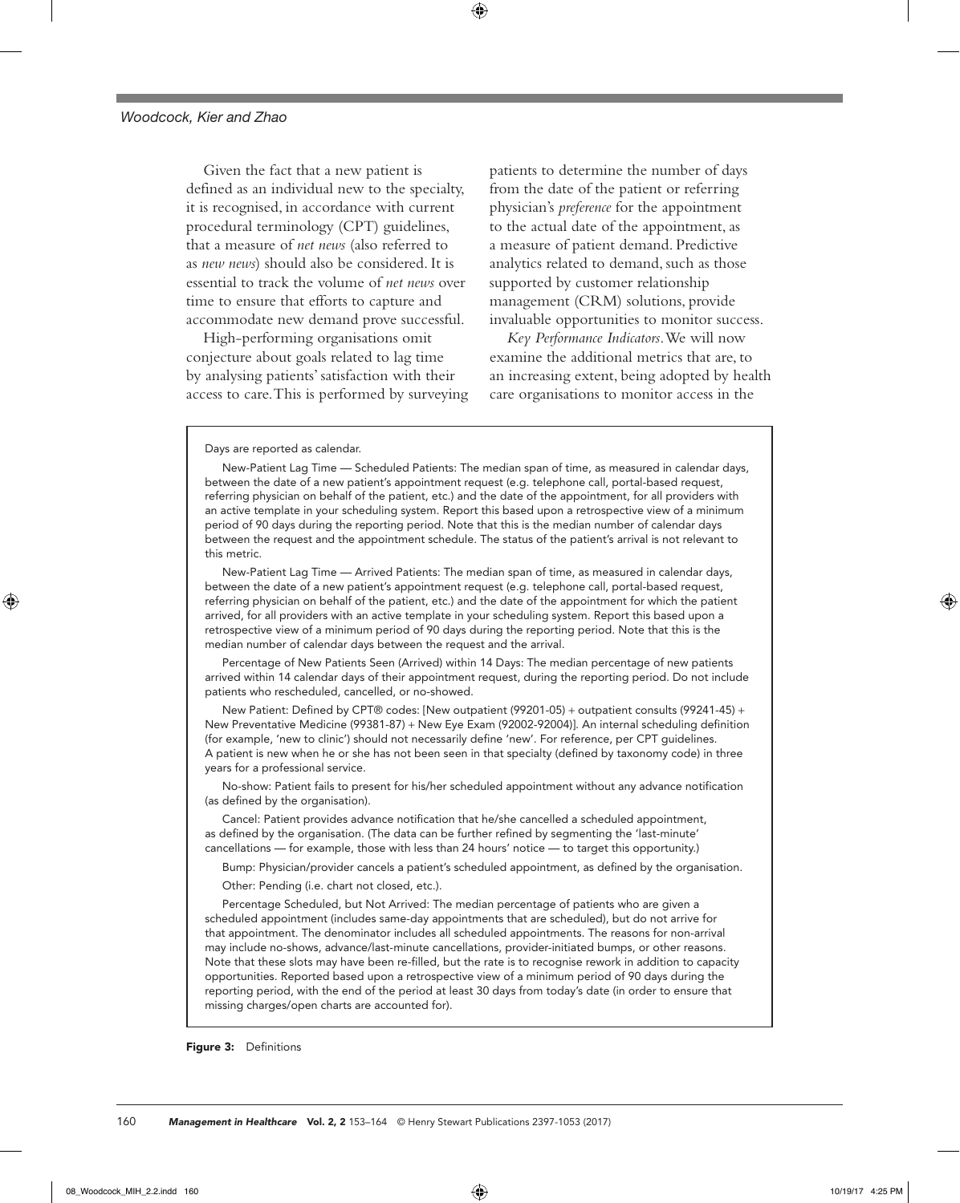Given the fact that a new patient is defined as an individual new to the specialty, it is recognised, in accordance with current procedural terminology (CPT) guidelines, that a measure of *net news* (also referred to as *new news*) should also be considered. It is essential to track the volume of *net news* over time to ensure that efforts to capture and accommodate new demand prove successful.

High-performing organisations omit conjecture about goals related to lag time by analysing patients' satisfaction with their access to care. This is performed by surveying patients to determine the number of days from the date of the patient or referring physician's *preference* for the appointment to the actual date of the appointment, as a measure of patient demand. Predictive analytics related to demand, such as those supported by customer relationship management (CRM) solutions, provide invaluable opportunities to monitor success.

*Key Performance Indicators*. We will now examine the additional metrics that are, to an increasing extent, being adopted by health care organisations to monitor access in the

Days are reported as calendar.

New-Patient Lag Time — Scheduled Patients: The median span of time, as measured in calendar days, between the date of a new patient's appointment request (e.g. telephone call, portal-based request, referring physician on behalf of the patient, etc.) and the date of the appointment, for all providers with an active template in your scheduling system. Report this based upon a retrospective view of a minimum period of 90 days during the reporting period. Note that this is the median number of calendar days between the request and the appointment schedule. The status of the patient's arrival is not relevant to this metric.

New-Patient Lag Time — Arrived Patients: The median span of time, as measured in calendar days, between the date of a new patient's appointment request (e.g. telephone call, portal-based request, referring physician on behalf of the patient, etc.) and the date of the appointment for which the patient arrived, for all providers with an active template in your scheduling system. Report this based upon a retrospective view of a minimum period of 90 days during the reporting period. Note that this is the median number of calendar days between the request and the arrival.

Percentage of New Patients Seen (Arrived) within 14 Days: The median percentage of new patients arrived within 14 calendar days of their appointment request, during the reporting period. Do not include patients who rescheduled, cancelled, or no-showed.

New Patient: Defined by CPT® codes: [New outpatient (99201-05) + outpatient consults (99241-45) + New Preventative Medicine (99381-87) + New Eye Exam (92002-92004)]. An internal scheduling definition (for example, 'new to clinic') should not necessarily define 'new'. For reference, per CPT guidelines. A patient is new when he or she has not been seen in that specialty (defined by taxonomy code) in three years for a professional service.

No-show: Patient fails to present for his/her scheduled appointment without any advance notification (as defined by the organisation).

Cancel: Patient provides advance notification that he/she cancelled a scheduled appointment, as defined by the organisation. (The data can be further refined by segmenting the 'last-minute' cancellations — for example, those with less than 24 hours' notice — to target this opportunity.)

Bump: Physician/provider cancels a patient's scheduled appointment, as defined by the organisation.

Other: Pending (i.e. chart not closed, etc.).

Percentage Scheduled, but Not Arrived: The median percentage of patients who are given a scheduled appointment (includes same-day appointments that are scheduled), but do not arrive for that appointment. The denominator includes all scheduled appointments. The reasons for non-arrival may include no-shows, advance/last-minute cancellations, provider-initiated bumps, or other reasons. Note that these slots may have been re-filled, but the rate is to recognise rework in addition to capacity opportunities. Reported based upon a retrospective view of a minimum period of 90 days during the reporting period, with the end of the period at least 30 days from today's date (in order to ensure that missing charges/open charts are accounted for).

Figure 3: Definitions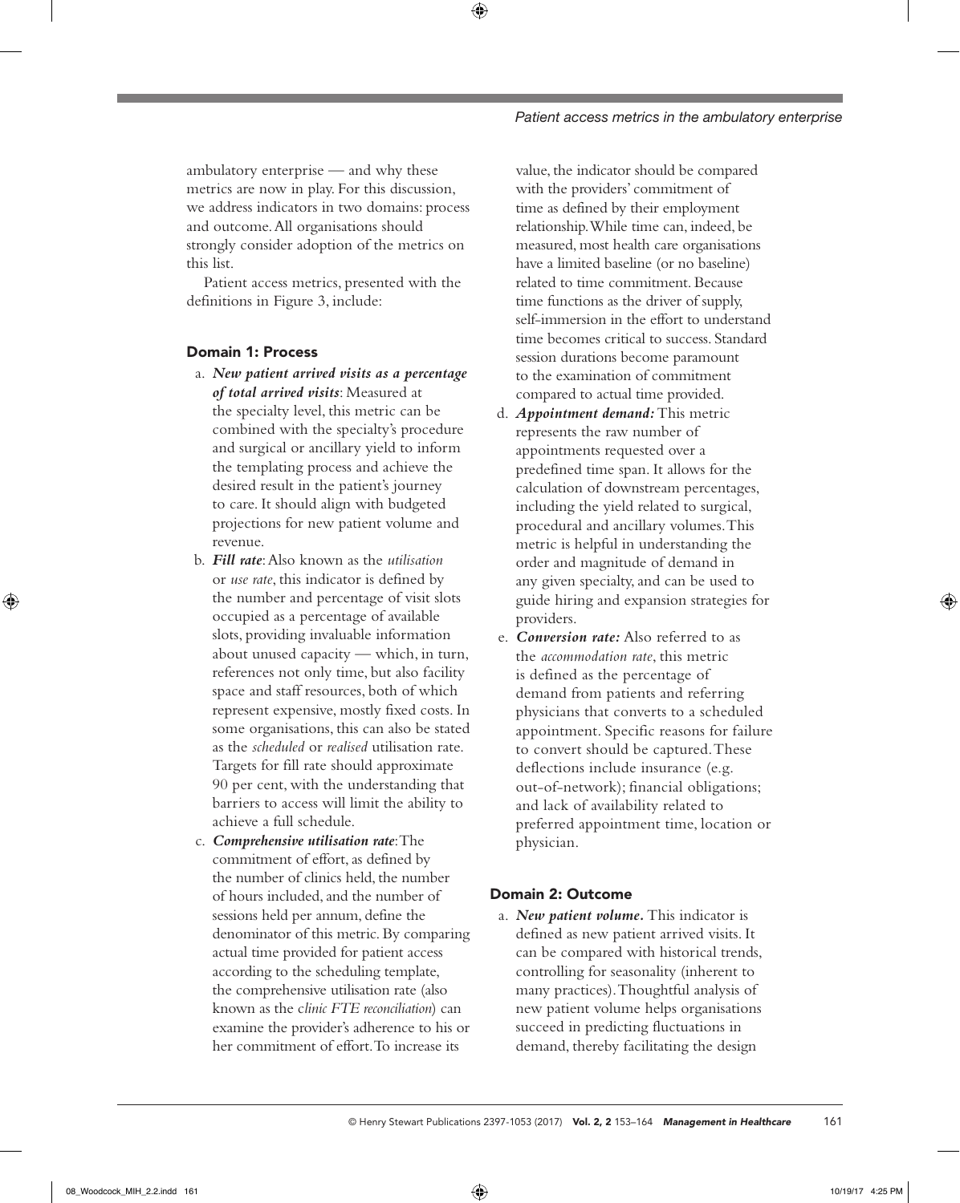ambulatory enterprise — and why these metrics are now in play. For this discussion, we address indicators in two domains: process and outcome. All organisations should strongly consider adoption of the metrics on this list.

Patient access metrics, presented with the definitions in Figure 3, include:

# Domain 1: Process

- a. *New patient arrived visits as a percentage of total arrived visits*: Measured at the specialty level, this metric can be combined with the specialty's procedure and surgical or ancillary yield to inform the templating process and achieve the desired result in the patient's journey to care. It should align with budgeted projections for new patient volume and revenue.
- b. *Fill rate*: Also known as the *utilisation* or *use rate*, this indicator is defined by the number and percentage of visit slots occupied as a percentage of available slots, providing invaluable information about unused capacity — which, in turn, references not only time, but also facility space and staff resources, both of which represent expensive, mostly fixed costs. In some organisations, this can also be stated as the *scheduled* or *realised* utilisation rate. Targets for fill rate should approximate 90 per cent, with the understanding that barriers to access will limit the ability to achieve a full schedule.
- c. *Comprehensive utilisation rate*: The commitment of effort, as defined by the number of clinics held, the number of hours included, and the number of sessions held per annum, define the denominator of this metric. By comparing actual time provided for patient access according to the scheduling template, the comprehensive utilisation rate (also known as the c*linic FTE reconciliation*) can examine the provider's adherence to his or her commitment of effort. To increase its

value, the indicator should be compared with the providers' commitment of time as defined by their employment relationship. While time can, indeed, be measured, most health care organisations have a limited baseline (or no baseline) related to time commitment. Because time functions as the driver of supply, self-immersion in the effort to understand time becomes critical to success. Standard session durations become paramount to the examination of commitment compared to actual time provided.

- d. *Appointment demand:* This metric represents the raw number of appointments requested over a predefined time span. It allows for the calculation of downstream percentages, including the yield related to surgical, procedural and ancillary volumes. This metric is helpful in understanding the order and magnitude of demand in any given specialty, and can be used to guide hiring and expansion strategies for providers.
- e. *Conversion rate:* Also referred to as the *accommodation rate*, this metric is defined as the percentage of demand from patients and referring physicians that converts to a scheduled appointment. Specific reasons for failure to convert should be captured. These deflections include insurance (e.g. out-of-network); financial obligations; and lack of availability related to preferred appointment time, location or physician.

# Domain 2: Outcome

a. *New patient volume.* This indicator is defined as new patient arrived visits. It can be compared with historical trends, controlling for seasonality (inherent to many practices). Thoughtful analysis of new patient volume helps organisations succeed in predicting fluctuations in demand, thereby facilitating the design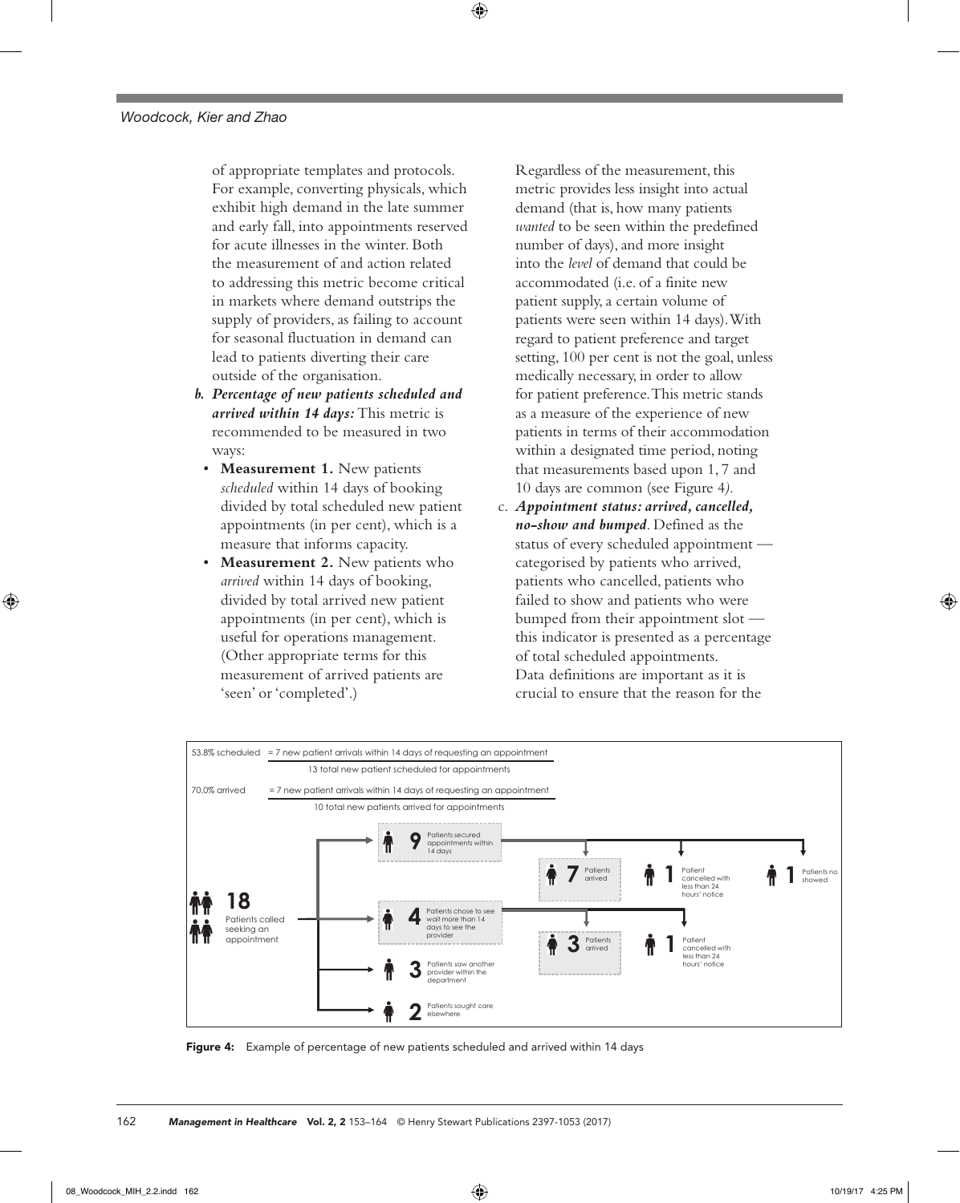of appropriate templates and protocols. For example, converting physicals, which exhibit high demand in the late summer and early fall, into appointments reserved for acute illnesses in the winter. Both the measurement of and action related to addressing this metric become critical in markets where demand outstrips the supply of providers, as failing to account for seasonal fluctuation in demand can lead to patients diverting their care outside of the organisation.

- *b. Percentage of new patients scheduled and arrived within 14 days:* This metric is recommended to be measured in two ways:
	- **Measurement 1.** New patients *scheduled* within 14 days of booking divided by total scheduled new patient appointments (in per cent), which is a measure that informs capacity.
	- **Measurement 2.** New patients who *arrived* within 14 days of booking, divided by total arrived new patient appointments (in per cent), which is useful for operations management. (Other appropriate terms for this measurement of arrived patients are 'seen' or 'completed'.)

Regardless of the measurement, this metric provides less insight into actual demand (that is, how many patients *wanted* to be seen within the predefined number of days), and more insight into the *level* of demand that could be accommodated (i.e. of a finite new patient supply, a certain volume of patients were seen within 14 days). With regard to patient preference and target setting, 100 per cent is not the goal, unless medically necessary, in order to allow for patient preference. This metric stands as a measure of the experience of new patients in terms of their accommodation within a designated time period, noting that measurements based upon 1, 7 and 10 days are common (see Figure 4*).*

c. *Appointment status: arrived, cancelled, no-show and bumped*. Defined as the status of every scheduled appointment categorised by patients who arrived, patients who cancelled, patients who failed to show and patients who were bumped from their appointment slot this indicator is presented as a percentage of total scheduled appointments. Data definitions are important as it is crucial to ensure that the reason for the



Figure 4: Example of percentage of new patients scheduled and arrived within 14 days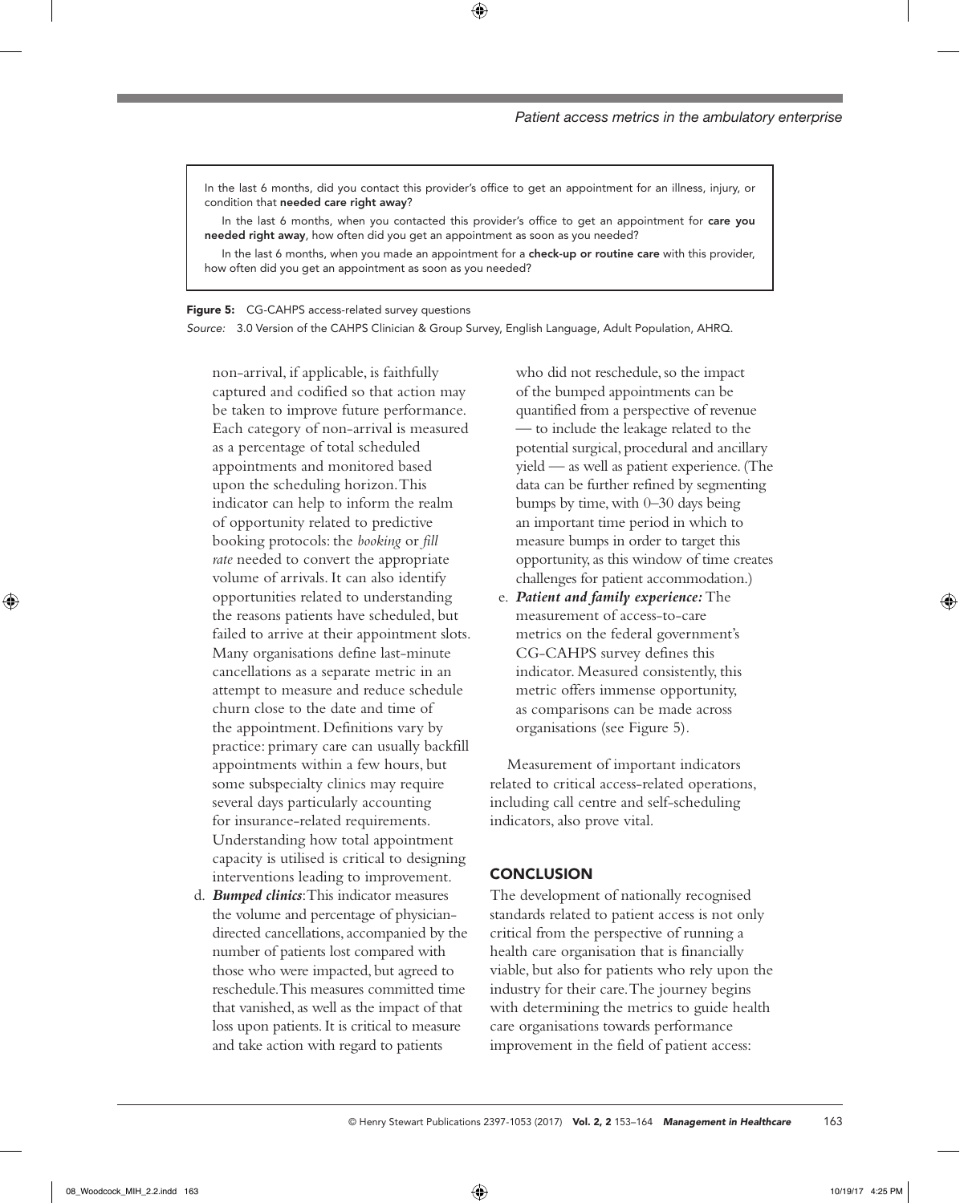In the last 6 months, did you contact this provider's office to get an appointment for an illness, injury, or condition that needed care right away?

In the last 6 months, when you contacted this provider's office to get an appointment for care you needed right away, how often did you get an appointment as soon as you needed?

In the last 6 months, when you made an appointment for a check-up or routine care with this provider, how often did you get an appointment as soon as you needed?

Figure 5: CG-CAHPS access-related survey questions

*Source:* 3.0 Version of the CAHPS Clinician & Group Survey, English Language, Adult Population, AHRQ.

non-arrival, if applicable, is faithfully captured and codified so that action may be taken to improve future performance. Each category of non-arrival is measured as a percentage of total scheduled appointments and monitored based upon the scheduling horizon. This indicator can help to inform the realm of opportunity related to predictive booking protocols: the *booking* or *fill rate* needed to convert the appropriate volume of arrivals. It can also identify opportunities related to understanding the reasons patients have scheduled, but failed to arrive at their appointment slots. Many organisations define last-minute cancellations as a separate metric in an attempt to measure and reduce schedule churn close to the date and time of the appointment. Definitions vary by practice: primary care can usually backfill appointments within a few hours, but some subspecialty clinics may require several days particularly accounting for insurance-related requirements. Understanding how total appointment capacity is utilised is critical to designing interventions leading to improvement.

d. *Bumped clinics*: This indicator measures the volume and percentage of physiciandirected cancellations, accompanied by the number of patients lost compared with those who were impacted, but agreed to reschedule. This measures committed time that vanished, as well as the impact of that loss upon patients. It is critical to measure and take action with regard to patients

who did not reschedule, so the impact of the bumped appointments can be quantified from a perspective of revenue — to include the leakage related to the potential surgical, procedural and ancillary yield — as well as patient experience. (The data can be further refined by segmenting bumps by time, with 0–30 days being an important time period in which to measure bumps in order to target this opportunity, as this window of time creates challenges for patient accommodation.)

e. *Patient and family experience:* The measurement of access-to-care metrics on the federal government's CG-CAHPS survey defines this indicator. Measured consistently, this metric offers immense opportunity, as comparisons can be made across organisations (see Figure 5)*.*

Measurement of important indicators related to critical access-related operations, including call centre and self-scheduling indicators, also prove vital.

## **CONCLUSION**

The development of nationally recognised standards related to patient access is not only critical from the perspective of running a health care organisation that is financially viable, but also for patients who rely upon the industry for their care. The journey begins with determining the metrics to guide health care organisations towards performance improvement in the field of patient access: